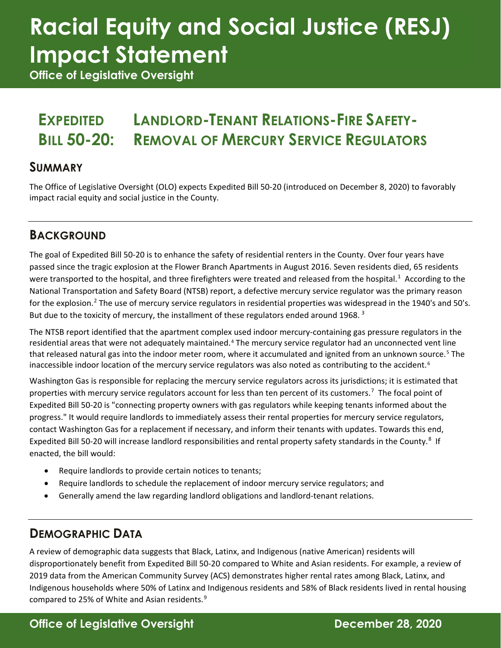## **Racial Equity and Social Justice (RESJ) Impact Statement**

**Office of Legislative Oversight**

#### **EXPEDITED BILL 50-20: LANDLORD-TENANT RELATIONS-FIRE SAFETY-REMOVAL OF MERCURY SERVICE REGULATORS**

#### **SUMMARY**

The Office of Legislative Oversight (OLO) expects Expedited Bill 50-20 (introduced on December 8, 2020) to favorably impact racial equity and social justice in the County.

#### **BACKGROUND**

The goal of Expedited Bill 50-20 is to enhance the safety of residential renters in the County. Over four years have passed since the tragic explosion at the Flower Branch Apartments in August 2016. Seven residents died, 65 residents were transported to the hospital, and three firefighters were treated and released from the hospital.<sup>[1](#page-2-0)</sup> According to the National Transportation and Safety Board (NTSB) report, a defective mercury service regulator was the primary reason for the explosion.[2](#page-2-1) The use of mercury service regulators in residential properties was widespread in the 1940's and 50's. But due to the toxicity of mercury, the installment of these regulators ended around 1968.<sup>[3](#page-2-2)</sup>

The NTSB report identified that the apartment complex used indoor mercury-containing gas pressure regulators in the residential areas that were not adequately maintained.<sup>[4](#page-2-3)</sup> The mercury service regulator had an unconnected vent line that released natural gas into the indoor meter room, where it accumulated and ignited from an unknown source.<sup>[5](#page-2-4)</sup> The inaccessible indoor location of the mercury service regulators was also noted as contributing to the accident.<sup>[6](#page-2-5)</sup>

Washington Gas is responsible for replacing the mercury service regulators across its jurisdictions; it is estimated that properties with mercury service regulators account for less than ten percent of its customers.<sup>[7](#page-2-6)</sup> The focal point of Expedited Bill 50-20 is "connecting property owners with gas regulators while keeping tenants informed about the progress." It would require landlords to immediately assess their rental properties for mercury service regulators, contact Washington Gas for a replacement if necessary, and inform their tenants with updates. Towards this end, Expedited Bill 50-20 will increase landlord responsibilities and rental property safety standards in the County.<sup>[8](#page-2-7)</sup> If enacted, the bill would:

- Require landlords to provide certain notices to tenants;
- Require landlords to schedule the replacement of indoor mercury service regulators; and
- Generally amend the law regarding landlord obligations and landlord-tenant relations.

#### **DEMOGRAPHIC DATA**

A review of demographic data suggests that Black, Latinx, and Indigenous (native American) residents will disproportionately benefit from Expedited Bill 50-20 compared to White and Asian residents. For example, a review of 2019 data from the American Community Survey (ACS) demonstrates higher rental rates among Black, Latinx, and Indigenous households where 50% of Latinx and Indigenous residents and 58% of Black residents lived in rental housing compared to 25% of White and Asian residents. $9$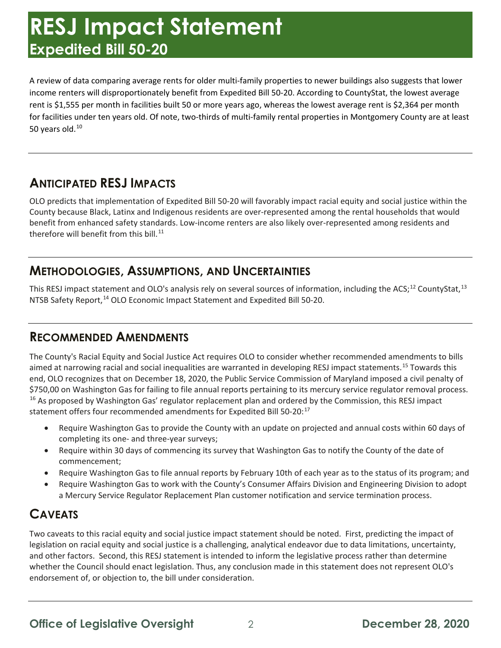### **RESJ Impact Statement Expedited Bill 50-20**

A review of data comparing average rents for older multi-family properties to newer buildings also suggests that lower income renters will disproportionately benefit from Expedited Bill 50-20. According to CountyStat, the lowest average rent is \$1,555 per month in facilities built 50 or more years ago, whereas the lowest average rent is \$2,364 per month for facilities under ten years old. Of note, two-thirds of multi-family rental properties in Montgomery County are at least 50 years old.<sup>[10](#page-2-9)</sup>

#### **ANTICIPATED RESJ IMPACTS**

OLO predicts that implementation of Expedited Bill 50-20 will favorably impact racial equity and social justice within the County because Black, Latinx and Indigenous residents are over-represented among the rental households that would benefit from enhanced safety standards. Low-income renters are also likely over-represented among residents and therefore will benefit from this bill. $^{11}$  $^{11}$  $^{11}$ 

#### **METHODOLOGIES, ASSUMPTIONS, AND UNCERTAINTIES**

This RESJ impact statement and OLO's analysis rely on several sources of information, including the ACS;<sup>[12](#page-2-11)</sup> CountyStat,<sup>[13](#page-2-12)</sup> NTSB Safety Report,<sup>[14](#page-2-13)</sup> OLO Economic Impact Statement and Expedited Bill 50-20.

#### **RECOMMENDED AMENDMENTS**

The County's Racial Equity and Social Justice Act requires OLO to consider whether recommended amendments to bills aimed at narrowing racial and social inequalities are warranted in developing RESJ impact statements.<sup>[15](#page-2-14)</sup> Towards this end, OLO recognizes that on December 18, 2020, the Public Service Commission of Maryland imposed a civil penalty of \$750,00 on Washington Gas for failing to file annual reports pertaining to its mercury service regulator removal process. <sup>[16](#page-2-15)</sup> As proposed by Washington Gas' regulator replacement plan and ordered by the Commission, this RESJ impact statement offers four recommended amendments for Expedited Bill 50-20:<sup>[17](#page-2-16)</sup>

- Require Washington Gas to provide the County with an update on projected and annual costs within 60 days of completing its one- and three-year surveys;
- Require within 30 days of commencing its survey that Washington Gas to notify the County of the date of commencement;
- Require Washington Gas to file annual reports by February 10th of each year as to the status of its program; and
- Require Washington Gas to work with the County's Consumer Affairs Division and Engineering Division to adopt a Mercury Service Regulator Replacement Plan customer notification and service termination process.

#### **CAVEATS**

Two caveats to this racial equity and social justice impact statement should be noted. First, predicting the impact of legislation on racial equity and social justice is a challenging, analytical endeavor due to data limitations, uncertainty, and other factors. Second, this RESJ statement is intended to inform the legislative process rather than determine whether the Council should enact legislation. Thus, any conclusion made in this statement does not represent OLO's endorsement of, or objection to, the bill under consideration.